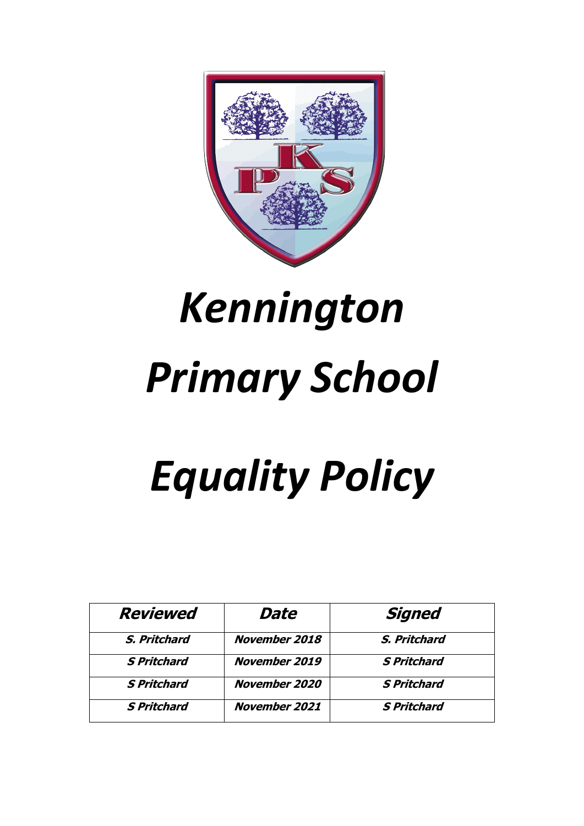

# *Kennington Primary School*

## *Equality Policy*

| <b>Reviewed</b>    | Date                 | <b>Signed</b>      |
|--------------------|----------------------|--------------------|
| S. Pritchard       | <b>November 2018</b> | S. Pritchard       |
| <b>S Pritchard</b> | <b>November 2019</b> | <b>S Pritchard</b> |
| <b>S Pritchard</b> | <b>November 2020</b> | <b>S Pritchard</b> |
| <b>S Pritchard</b> | <b>November 2021</b> | <b>S Pritchard</b> |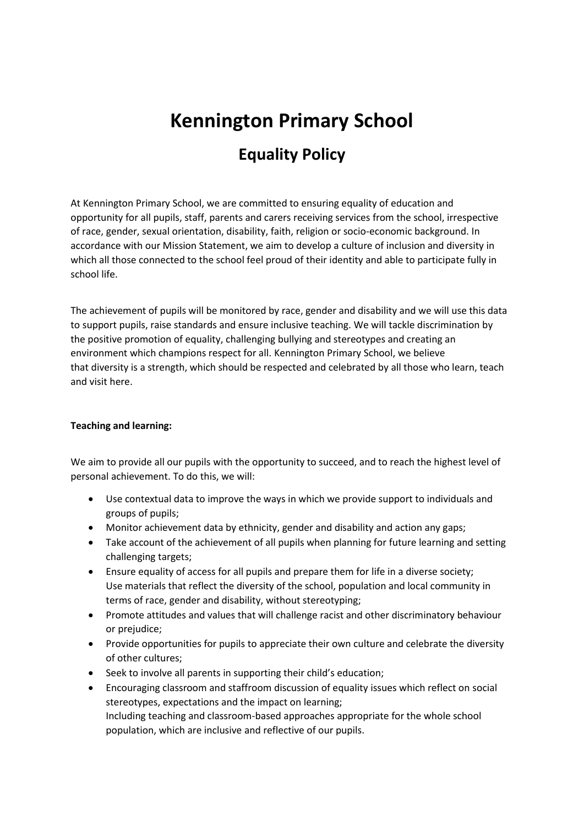### **Kennington Primary School**

#### **Equality Policy**

At Kennington Primary School, we are committed to ensuring equality of education and opportunity for all pupils, staff, parents and carers receiving services from the school, irrespective of race, gender, sexual orientation, disability, faith, religion or socio-economic background. In accordance with our Mission Statement, we aim to develop a culture of inclusion and diversity in which all those connected to the school feel proud of their identity and able to participate fully in school life.

The achievement of pupils will be monitored by race, gender and disability and we will use this data to support pupils, raise standards and ensure inclusive teaching. We will tackle discrimination by the positive promotion of equality, challenging bullying and stereotypes and creating an environment which champions respect for all. Kennington Primary School, we believe that diversity is a strength, which should be respected and celebrated by all those who learn, teach and visit here.

#### **Teaching and learning:**

We aim to provide all our pupils with the opportunity to succeed, and to reach the highest level of personal achievement. To do this, we will:

- Use contextual data to improve the ways in which we provide support to individuals and groups of pupils;
- Monitor achievement data by ethnicity, gender and disability and action any gaps;
- Take account of the achievement of all pupils when planning for future learning and setting challenging targets;
- Ensure equality of access for all pupils and prepare them for life in a diverse society; Use materials that reflect the diversity of the school, population and local community in terms of race, gender and disability, without stereotyping;
- Promote attitudes and values that will challenge racist and other discriminatory behaviour or prejudice;
- Provide opportunities for pupils to appreciate their own culture and celebrate the diversity of other cultures;
- Seek to involve all parents in supporting their child's education;
- Encouraging classroom and staffroom discussion of equality issues which reflect on social stereotypes, expectations and the impact on learning; Including teaching and classroom-based approaches appropriate for the whole school population, which are inclusive and reflective of our pupils.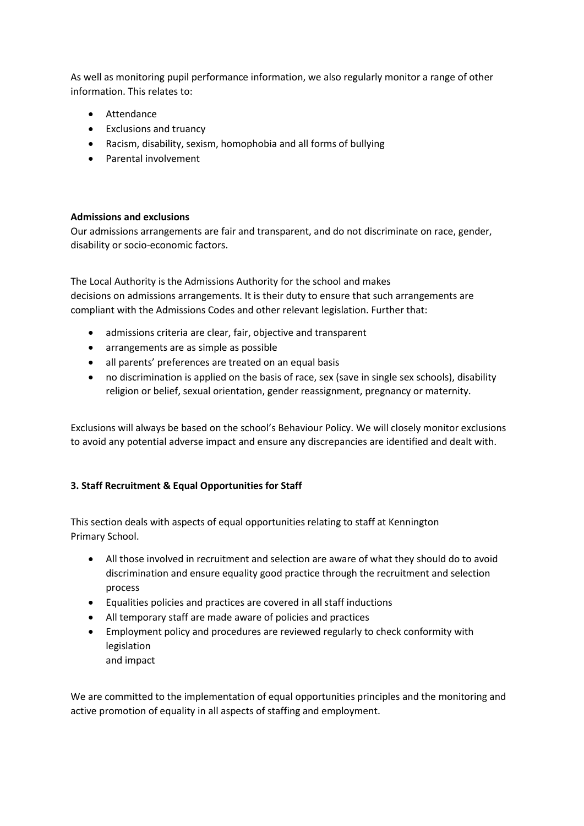As well as monitoring pupil performance information, we also regularly monitor a range of other information. This relates to:

- Attendance
- Exclusions and truancy
- Racism, disability, sexism, homophobia and all forms of bullying
- Parental involvement

#### **Admissions and exclusions**

Our admissions arrangements are fair and transparent, and do not discriminate on race, gender, disability or socio-economic factors.

The Local Authority is the Admissions Authority for the school and makes decisions on admissions arrangements. It is their duty to ensure that such arrangements are compliant with the Admissions Codes and other relevant legislation. Further that:

- admissions criteria are clear, fair, objective and transparent
- arrangements are as simple as possible
- all parents' preferences are treated on an equal basis
- no discrimination is applied on the basis of race, sex (save in single sex schools), disability religion or belief, sexual orientation, gender reassignment, pregnancy or maternity.

Exclusions will always be based on the school's Behaviour Policy. We will closely monitor exclusions to avoid any potential adverse impact and ensure any discrepancies are identified and dealt with.

#### **3. Staff Recruitment & Equal Opportunities for Staff**

This section deals with aspects of equal opportunities relating to staff at Kennington Primary School.

- All those involved in recruitment and selection are aware of what they should do to avoid discrimination and ensure equality good practice through the recruitment and selection process
- Equalities policies and practices are covered in all staff inductions
- All temporary staff are made aware of policies and practices
- Employment policy and procedures are reviewed regularly to check conformity with legislation and impact

We are committed to the implementation of equal opportunities principles and the monitoring and active promotion of equality in all aspects of staffing and employment.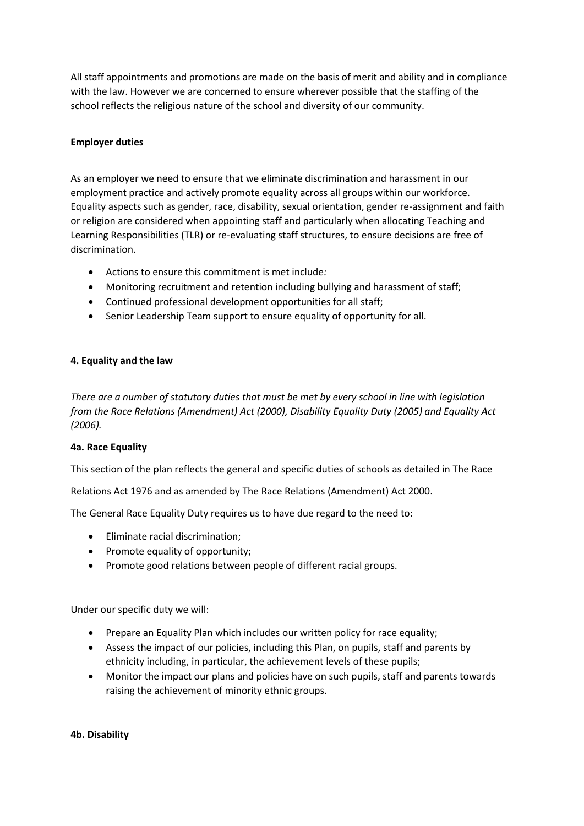All staff appointments and promotions are made on the basis of merit and ability and in compliance with the law. However we are concerned to ensure wherever possible that the staffing of the school reflects the religious nature of the school and diversity of our community.

#### **Employer duties**

As an employer we need to ensure that we eliminate discrimination and harassment in our employment practice and actively promote equality across all groups within our workforce. Equality aspects such as gender, race, disability, sexual orientation, gender re-assignment and faith or religion are considered when appointing staff and particularly when allocating Teaching and Learning Responsibilities (TLR) or re-evaluating staff structures, to ensure decisions are free of discrimination.

- Actions to ensure this commitment is met include*:*
- Monitoring recruitment and retention including bullying and harassment of staff;
- Continued professional development opportunities for all staff;
- Senior Leadership Team support to ensure equality of opportunity for all.

#### **4. Equality and the law**

*There are a number of statutory duties that must be met by every school in line with legislation from the Race Relations (Amendment) Act (2000), Disability Equality Duty (2005) and Equality Act (2006).*

#### **4a. Race Equality**

This section of the plan reflects the general and specific duties of schools as detailed in The Race

Relations Act 1976 and as amended by The Race Relations (Amendment) Act 2000.

The General Race Equality Duty requires us to have due regard to the need to:

- Eliminate racial discrimination;
- Promote equality of opportunity;
- Promote good relations between people of different racial groups.

Under our specific duty we will:

- Prepare an Equality Plan which includes our written policy for race equality;
- Assess the impact of our policies, including this Plan, on pupils, staff and parents by ethnicity including, in particular, the achievement levels of these pupils;
- Monitor the impact our plans and policies have on such pupils, staff and parents towards raising the achievement of minority ethnic groups.

#### **4b. Disability**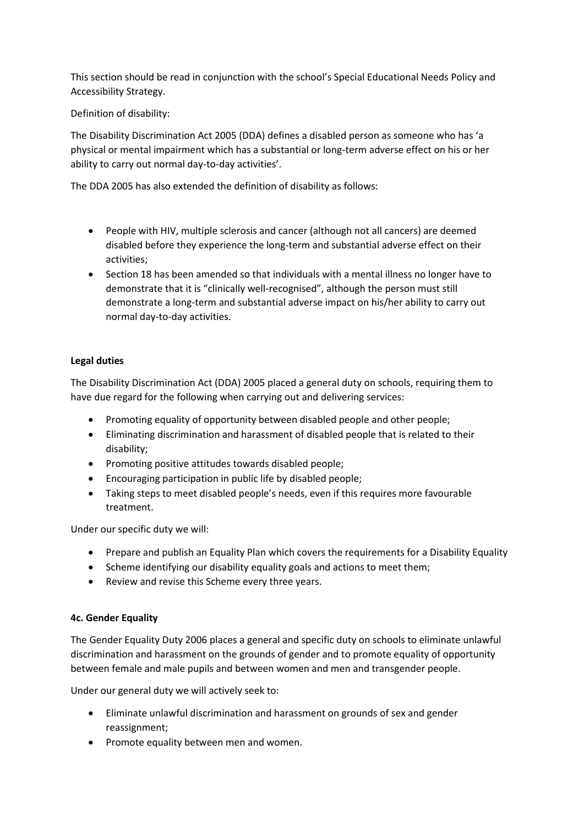This section should be read in conjunction with the school's Special Educational Needs Policy and Accessibility Strategy.

Definition of disability:

The Disability Discrimination Act 2005 (DDA) defines a disabled person as someone who has 'a physical or mental impairment which has a substantial or long-term adverse effect on his or her ability to carry out normal day-to-day activities'.

The DDA 2005 has also extended the definition of disability as follows:

- People with HIV, multiple sclerosis and cancer (although not all cancers) are deemed disabled before they experience the long-term and substantial adverse effect on their activities;
- Section 18 has been amended so that individuals with a mental illness no longer have to demonstrate that it is "clinically well-recognised", although the person must still demonstrate a long-term and substantial adverse impact on his/her ability to carry out normal day-to-day activities.

#### **Legal duties**

The Disability Discrimination Act (DDA) 2005 placed a general duty on schools, requiring them to have due regard for the following when carrying out and delivering services:

- Promoting equality of opportunity between disabled people and other people;
- Eliminating discrimination and harassment of disabled people that is related to their disability;
- Promoting positive attitudes towards disabled people;
- Encouraging participation in public life by disabled people;
- Taking steps to meet disabled people's needs, even if this requires more favourable treatment.

Under our specific duty we will:

- Prepare and publish an Equality Plan which covers the requirements for a Disability Equality
- Scheme identifying our disability equality goals and actions to meet them;
- Review and revise this Scheme every three years.

#### **4c. Gender Equality**

The Gender Equality Duty 2006 places a general and specific duty on schools to eliminate unlawful discrimination and harassment on the grounds of gender and to promote equality of opportunity between female and male pupils and between women and men and transgender people.

Under our general duty we will actively seek to:

- Eliminate unlawful discrimination and harassment on grounds of sex and gender reassignment;
- Promote equality between men and women.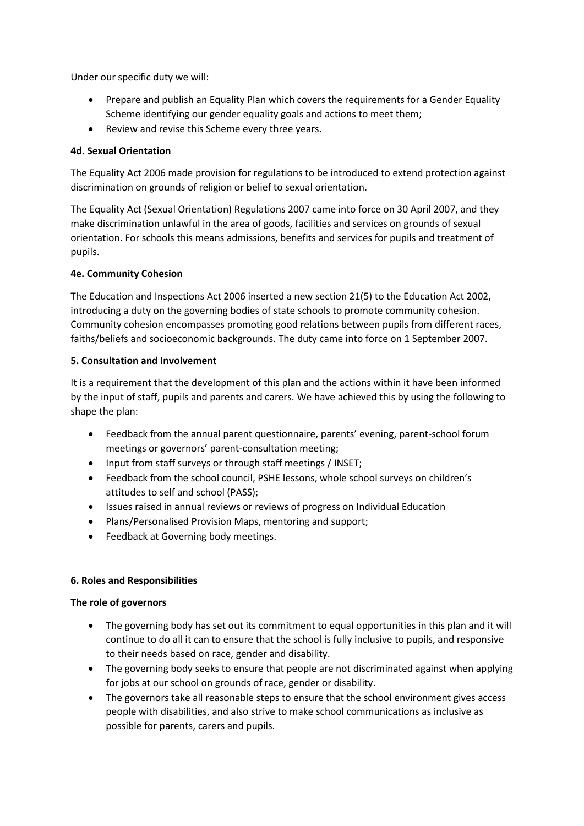Under our specific duty we will:

- Prepare and publish an Equality Plan which covers the requirements for a Gender Equality Scheme identifying our gender equality goals and actions to meet them;
- Review and revise this Scheme every three years.

#### **4d. Sexual Orientation**

The Equality Act 2006 made provision for regulations to be introduced to extend protection against discrimination on grounds of religion or belief to sexual orientation.

The Equality Act (Sexual Orientation) Regulations 2007 came into force on 30 April 2007, and they make discrimination unlawful in the area of goods, facilities and services on grounds of sexual orientation. For schools this means admissions, benefits and services for pupils and treatment of pupils.

#### **4e. Community Cohesion**

The Education and Inspections Act 2006 inserted a new section 21(5) to the Education Act 2002, introducing a duty on the governing bodies of state schools to promote community cohesion. Community cohesion encompasses promoting good relations between pupils from different races, faiths/beliefs and socioeconomic backgrounds. The duty came into force on 1 September 2007.

#### **5. Consultation and Involvement**

It is a requirement that the development of this plan and the actions within it have been informed by the input of staff, pupils and parents and carers. We have achieved this by using the following to shape the plan:

- Feedback from the annual parent questionnaire, parents' evening, parent-school forum meetings or governors' parent-consultation meeting;
- Input from staff surveys or through staff meetings / INSET;
- Feedback from the school council, PSHE lessons, whole school surveys on children's attitudes to self and school (PASS);
- Issues raised in annual reviews or reviews of progress on Individual Education
- Plans/Personalised Provision Maps, mentoring and support;
- Feedback at Governing body meetings.

#### **6. Roles and Responsibilities**

#### **The role of governors**

- The governing body has set out its commitment to equal opportunities in this plan and it will continue to do all it can to ensure that the school is fully inclusive to pupils, and responsive to their needs based on race, gender and disability.
- The governing body seeks to ensure that people are not discriminated against when applying for jobs at our school on grounds of race, gender or disability.
- The governors take all reasonable steps to ensure that the school environment gives access people with disabilities, and also strive to make school communications as inclusive as possible for parents, carers and pupils.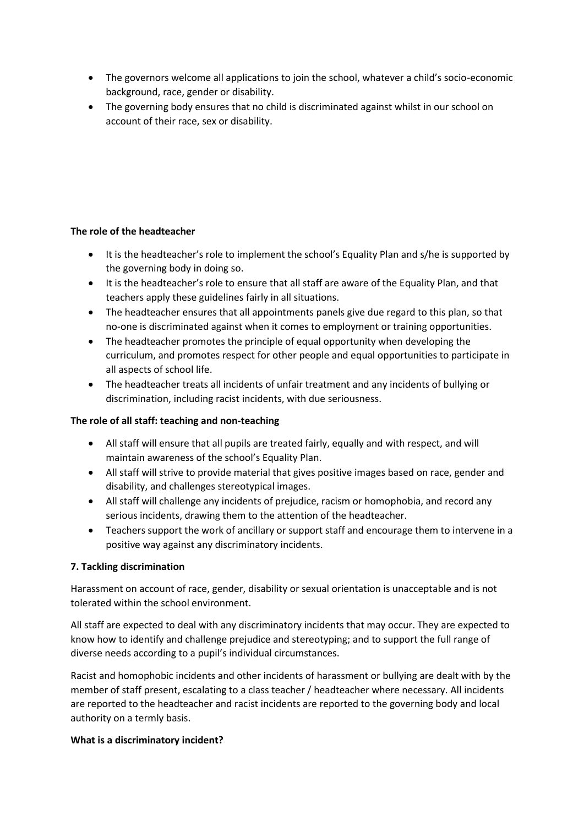- The governors welcome all applications to join the school, whatever a child's socio-economic background, race, gender or disability.
- The governing body ensures that no child is discriminated against whilst in our school on account of their race, sex or disability.

#### **The role of the headteacher**

- It is the headteacher's role to implement the school's Equality Plan and s/he is supported by the governing body in doing so.
- It is the headteacher's role to ensure that all staff are aware of the Equality Plan, and that teachers apply these guidelines fairly in all situations.
- The headteacher ensures that all appointments panels give due regard to this plan, so that no-one is discriminated against when it comes to employment or training opportunities.
- The headteacher promotes the principle of equal opportunity when developing the curriculum, and promotes respect for other people and equal opportunities to participate in all aspects of school life.
- The headteacher treats all incidents of unfair treatment and any incidents of bullying or discrimination, including racist incidents, with due seriousness.

#### **The role of all staff: teaching and non-teaching**

- All staff will ensure that all pupils are treated fairly, equally and with respect, and will maintain awareness of the school's Equality Plan.
- All staff will strive to provide material that gives positive images based on race, gender and disability, and challenges stereotypical images.
- All staff will challenge any incidents of prejudice, racism or homophobia, and record any serious incidents, drawing them to the attention of the headteacher.
- Teachers support the work of ancillary or support staff and encourage them to intervene in a positive way against any discriminatory incidents.

#### **7. Tackling discrimination**

Harassment on account of race, gender, disability or sexual orientation is unacceptable and is not tolerated within the school environment.

All staff are expected to deal with any discriminatory incidents that may occur. They are expected to know how to identify and challenge prejudice and stereotyping; and to support the full range of diverse needs according to a pupil's individual circumstances.

Racist and homophobic incidents and other incidents of harassment or bullying are dealt with by the member of staff present, escalating to a class teacher / headteacher where necessary. All incidents are reported to the headteacher and racist incidents are reported to the governing body and local authority on a termly basis.

#### **What is a discriminatory incident?**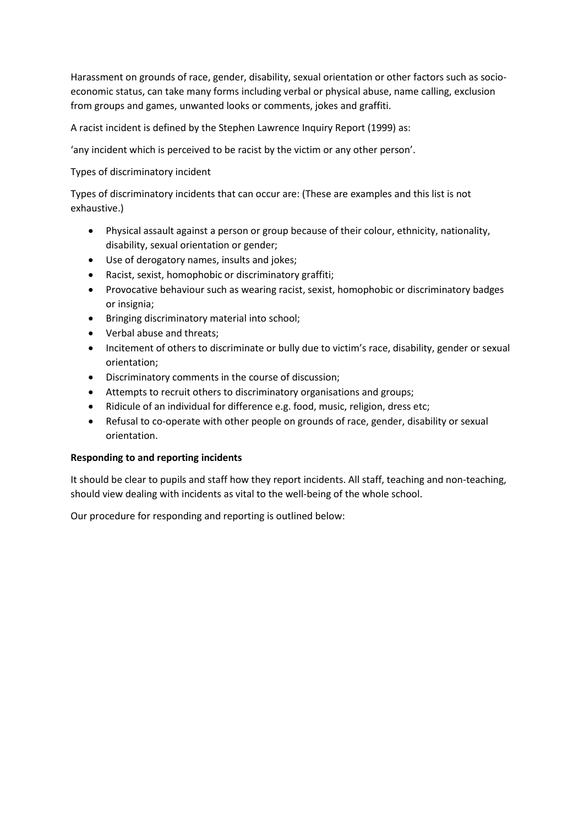Harassment on grounds of race, gender, disability, sexual orientation or other factors such as socioeconomic status, can take many forms including verbal or physical abuse, name calling, exclusion from groups and games, unwanted looks or comments, jokes and graffiti.

A racist incident is defined by the Stephen Lawrence Inquiry Report (1999) as:

'any incident which is perceived to be racist by the victim or any other person'.

Types of discriminatory incident

Types of discriminatory incidents that can occur are: (These are examples and this list is not exhaustive.)

- Physical assault against a person or group because of their colour, ethnicity, nationality, disability, sexual orientation or gender;
- Use of derogatory names, insults and jokes;
- Racist, sexist, homophobic or discriminatory graffiti;
- Provocative behaviour such as wearing racist, sexist, homophobic or discriminatory badges or insignia;
- Bringing discriminatory material into school;
- Verbal abuse and threats;
- Incitement of others to discriminate or bully due to victim's race, disability, gender or sexual orientation;
- Discriminatory comments in the course of discussion;
- Attempts to recruit others to discriminatory organisations and groups;
- Ridicule of an individual for difference e.g. food, music, religion, dress etc;
- Refusal to co-operate with other people on grounds of race, gender, disability or sexual orientation.

#### **Responding to and reporting incidents**

It should be clear to pupils and staff how they report incidents. All staff, teaching and non-teaching, should view dealing with incidents as vital to the well-being of the whole school.

Our procedure for responding and reporting is outlined below: